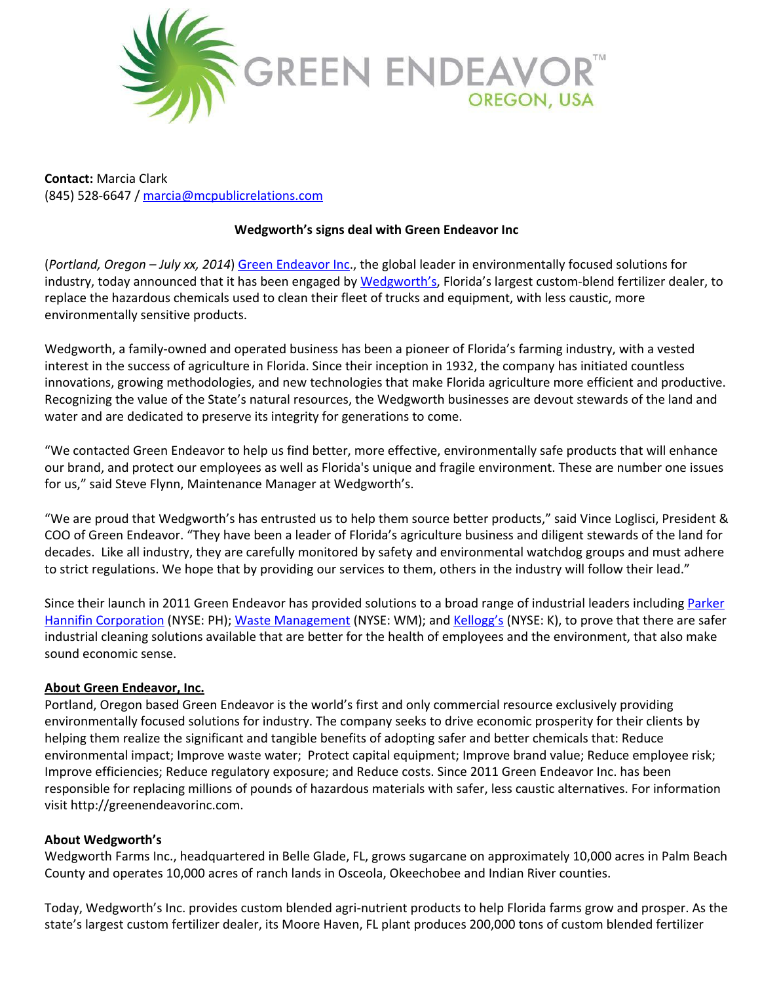

**Contact:** Marcia Clark (845) 528-6647 / [marcia@mcpublicrelations.com](mailto:marcia@mcpublicrelations.com)

## **Wedgworth's signs deal with Green Endeavor Inc**

(*Portland, Oregon – July xx, 2014*) Green [Endeavor](http://www.google.com/url?q=http%3A%2F%2Fwww.greenendeavorinc.com%2Fourfocus.html&sa=D&sntz=1&usg=AFQjCNGts4xSQVeg6kdgiaoVIgK9r3DLXA) Inc., the global leader in environmentally focused solutions for industry, today announced that it has been engaged by [Wedgworth's](http://www.google.com/url?q=http%3A%2F%2Fwww.wedgworth.com%2F&sa=D&sntz=1&usg=AFQjCNHSQqDSMzdPgYeM11iEWBaASSqdAA), Florida's largest custom-blend fertilizer dealer, to replace the hazardous chemicals used to clean their fleet of trucks and equipment, with less caustic, more environmentally sensitive products.

Wedgworth, a family-owned and operated business has been a pioneer of Florida's farming industry, with a vested interest in the success of agriculture in Florida. Since their inception in 1932, the company has initiated countless innovations, growing methodologies, and new technologies that make Florida agriculture more efficient and productive. Recognizing the value of the State's natural resources, the Wedgworth businesses are devout stewards of the land and water and are dedicated to preserve its integrity for generations to come.

"We contacted Green Endeavor to help us find better, more effective, environmentally safe products that will enhance our brand, and protect our employees as well as Florida's unique and fragile environment. These are number one issues for us," said Steve Flynn, Maintenance Manager at Wedgworth's.

"We are proud that Wedgworth's has entrusted us to help them source better products," said Vince Loglisci, President & COO of Green Endeavor. "They have been a leader of Florida's agriculture business and diligent stewards of the land for decades. Like all industry, they are carefully monitored by safety and environmental watchdog groups and must adhere to strict regulations. We hope that by providing our services to them, others in the industry will follow their lead."

Since their launch in 2011 Green Endeavor has provided solutions to a broad range of industrial leaders including [Parker](http://www.google.com/url?q=http%3A%2F%2Fwww.parker.com%2Fportal%2Fsite%2FPARKER%2Fmenuitem.f830ba32f37af5fe2c5c8810427ad1ca%2F%3Fvgnextoid%3D7de94bad565e4310VgnVCM10000014a71dacRCRD%26vgnextfmt%3Ddefault&sa=D&sntz=1&usg=AFQjCNG-FxfVjZ6H4FxGB6ceDRhQP4cYvA) Hannifin [Corporation](http://www.google.com/url?q=http%3A%2F%2Fwww.parker.com%2Fportal%2Fsite%2FPARKER%2Fmenuitem.f830ba32f37af5fe2c5c8810427ad1ca%2F%3Fvgnextoid%3D7de94bad565e4310VgnVCM10000014a71dacRCRD%26vgnextfmt%3Ddefault&sa=D&sntz=1&usg=AFQjCNG-FxfVjZ6H4FxGB6ceDRhQP4cYvA) (NYSE: PH); Waste [Management](http://www.google.com/url?q=http%3A%2F%2Fwww.wm.com%2Fabout%2Findex.jsp&sa=D&sntz=1&usg=AFQjCNGAnAFZBLgHNSL7BP9v6OfvWlXpeg) (NYSE: WM); and [Kellogg's](http://www.google.com/url?q=http%3A%2F%2Finvestor.kelloggs.com%2Finvestor-relations%2Fdefault.aspx&sa=D&sntz=1&usg=AFQjCNG0vX0_ayU2vuj7YSDPplQNNlz4qQ) (NYSE: K), to prove that there are safer industrial cleaning solutions available that are better for the health of employees and the environment, that also make sound economic sense.

## **About Green Endeavor, Inc.**

Portland, Oregon based Green Endeavor is the world's first and only commercial resource exclusively providing environmentally focused solutions for industry. The company seeks to drive economic prosperity for their clients by helping them realize the significant and tangible benefits of adopting safer and better chemicals that: Reduce environmental impact; Improve waste water; Protect capital equipment; Improve brand value; Reduce employee risk; Improve efficiencies; Reduce regulatory exposure; and Reduce costs. Since 2011 Green Endeavor Inc. has been responsible for replacing millions of pounds of hazardous materials with safer, less caustic alternatives. For information visit http://greenendeavorinc.com.

## **About Wedgworth's**

Wedgworth Farms Inc., headquartered in Belle Glade, FL, grows sugarcane on approximately 10,000 acres in Palm Beach County and operates 10,000 acres of ranch lands in Osceola, Okeechobee and Indian River counties.

Today, Wedgworth's Inc. provides custom blended agri-nutrient products to help Florida farms grow and prosper. As the state's largest custom fertilizer dealer, its Moore Haven, FL plant produces 200,000 tons of custom blended fertilizer